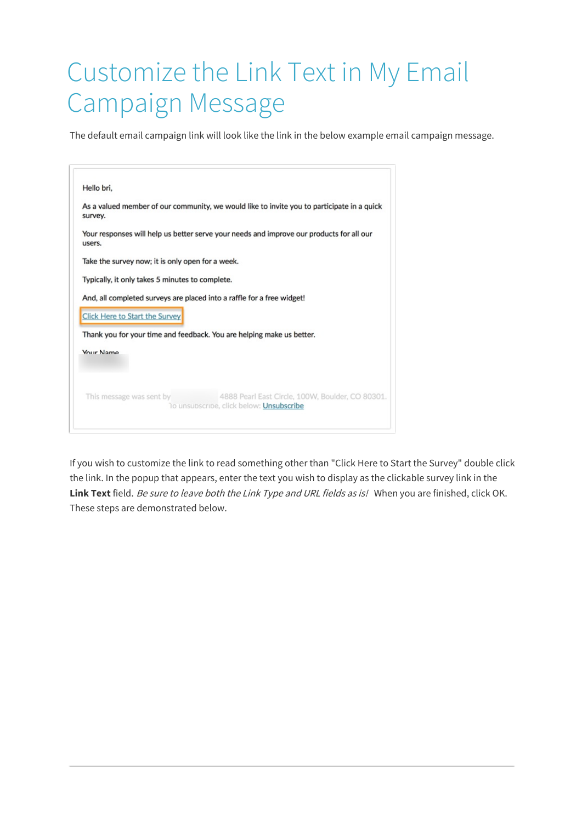## Customize the Link Text in My Email Campaign Message

The default email campaign link will look like the link in the below example email campaign message.

| Hello bri,                                       |                                                                                              |
|--------------------------------------------------|----------------------------------------------------------------------------------------------|
| survey.                                          | As a valued member of our community, we would like to invite you to participate in a quick   |
| users.                                           | Your responses will help us better serve your needs and improve our products for all our     |
| Take the survey now; it is only open for a week. |                                                                                              |
| Typically, it only takes 5 minutes to complete.  |                                                                                              |
|                                                  | And, all completed surveys are placed into a raffle for a free widget!                       |
| <b>Click Here to Start the Survey</b>            |                                                                                              |
|                                                  | Thank you for your time and feedback. You are helping make us better.                        |
| <b>Vour Name</b>                                 |                                                                                              |
|                                                  |                                                                                              |
|                                                  |                                                                                              |
| This message was sent by                         | 4888 Pearl East Circle, 100W, Boulder, CO 80301.<br>To unsubscribe, click below: Unsubscribe |
|                                                  |                                                                                              |

If you wish to customize the link to read something other than "Click Here to Start the Survey" double click the link. In the popup that appears, enter the text you wish to display as the clickable survey link in the **Link Text** field. Be sure to leave both the Link Type and URL fields as is! When you are finished, click OK. These steps are demonstrated below.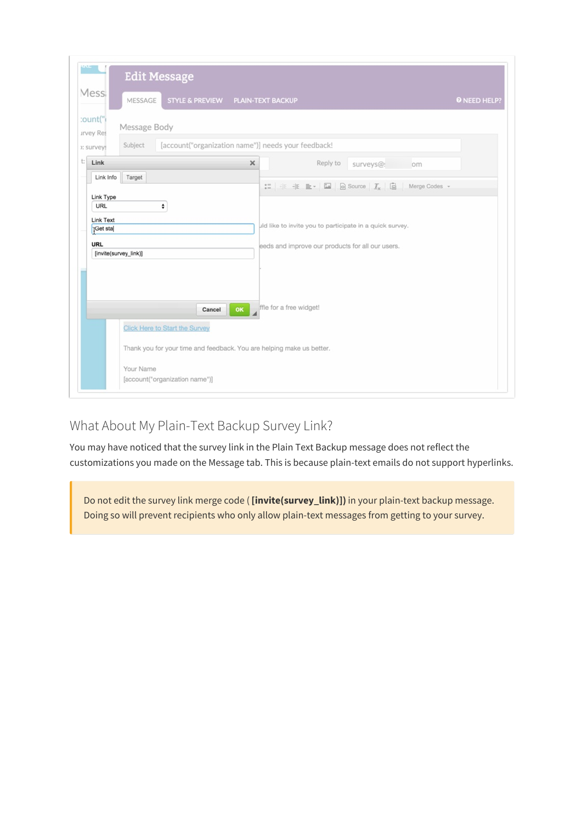| Messi            | STYLE & PREVIEW PLAIN-TEXT BACKUP<br>MESSAGE                          |                                                                                                                                                                                                                                                                                                                                | <b>O</b> NEED HELP? |
|------------------|-----------------------------------------------------------------------|--------------------------------------------------------------------------------------------------------------------------------------------------------------------------------------------------------------------------------------------------------------------------------------------------------------------------------|---------------------|
| :ount(")         |                                                                       |                                                                                                                                                                                                                                                                                                                                |                     |
| <b>Irvey Res</b> | Message Body                                                          |                                                                                                                                                                                                                                                                                                                                |                     |
| »: surveys       | [account("organization name")] needs your feedback!<br>Subject        |                                                                                                                                                                                                                                                                                                                                |                     |
| $t:$ Link        |                                                                       | Reply to<br>$\times$<br>surveys@:<br>om                                                                                                                                                                                                                                                                                        |                     |
| Link Info        | Target                                                                |                                                                                                                                                                                                                                                                                                                                |                     |
|                  |                                                                       | $\mathbb{H}$ + + $\mathbb{E}$ + $\mathbb{H}$ + $\mathbb{R}$ + $\mathbb{H}$ + $\mathbb{R}$ + $\mathbb{H}$ + $\mathbb{H}$ + $\mathbb{H}$ + $\mathbb{H}$ + $\mathbb{H}$ + $\mathbb{H}$ + $\mathbb{H}$ + $\mathbb{H}$ + $\mathbb{H}$ + $\mathbb{H}$ + $\mathbb{H}$ + $\mathbb{H}$ + $\mathbb{H}$ + $\mathbb{H}$ +<br>Merge Codes - |                     |
| Link Type<br>URL | ٠                                                                     |                                                                                                                                                                                                                                                                                                                                |                     |
| Link Text        |                                                                       |                                                                                                                                                                                                                                                                                                                                |                     |
| TGet sta         |                                                                       | uld like to invite you to participate in a quick survey.                                                                                                                                                                                                                                                                       |                     |
| <b>URL</b>       |                                                                       | eeds and improve our products for all our users.                                                                                                                                                                                                                                                                               |                     |
|                  | [invite(survey_link)]                                                 |                                                                                                                                                                                                                                                                                                                                |                     |
|                  |                                                                       |                                                                                                                                                                                                                                                                                                                                |                     |
|                  |                                                                       |                                                                                                                                                                                                                                                                                                                                |                     |
|                  |                                                                       |                                                                                                                                                                                                                                                                                                                                |                     |
|                  | OK<br>Cancel                                                          | ffle for a free widget!                                                                                                                                                                                                                                                                                                        |                     |
|                  |                                                                       |                                                                                                                                                                                                                                                                                                                                |                     |
|                  | <b>Click Here to Start the Survey</b>                                 |                                                                                                                                                                                                                                                                                                                                |                     |
|                  | Thank you for your time and feedback. You are helping make us better. |                                                                                                                                                                                                                                                                                                                                |                     |
|                  |                                                                       |                                                                                                                                                                                                                                                                                                                                |                     |
|                  | Your Name                                                             |                                                                                                                                                                                                                                                                                                                                |                     |
|                  | [account("organization name")]                                        |                                                                                                                                                                                                                                                                                                                                |                     |

## What About My Plain-Text Backup Survey Link?

You may have noticed that the survey link in the Plain Text Backup message does not reflect the customizations you made on the Message tab. This is because plain-text emails do not support hyperlinks.

Do not edit the survey link merge code ( **[invite(survey\_link)])** in your plain-text backup message. Doing so will prevent recipients who only allow plain-text messages from getting to your survey.